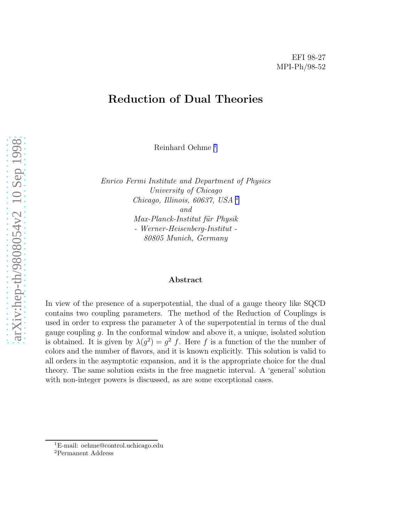# Reduction of Dual Theories

Reinhard Oehme <sup>1</sup>

Enrico Fermi Institute and Department of Physics University of Chicago Chicago, Illinois, 60637, USA <sup>2</sup> and Max-Planck-Institut für Physik - Werner-Heisenberg-Institut - 80805 Munich, Germany

# Abstract

In view of the presence of a superpotential, the dual of a gauge theory like SQCD contains two coupling parameters. The method of the Reduction of Couplings is used in order to express the parameter  $\lambda$  of the superpotential in terms of the dual gauge coupling  $q$ . In the conformal window and above it, a unique, isolated solution is obtained. It is given by  $\lambda(g^2) = g^2 f$ . Here f is a function of the the number of colors and the number of flavors, and it is known explicitly. This solution is valid to all orders in the asymptotic expansion, and it is the appropriate choice for the dual theory. The same solution exists in the free magnetic interval. A 'general' solution with non-integer powers is discussed, as are some exceptional cases.

<sup>1</sup>E-mail: oehme@control.uchicago.edu

<sup>2</sup>Permanent Address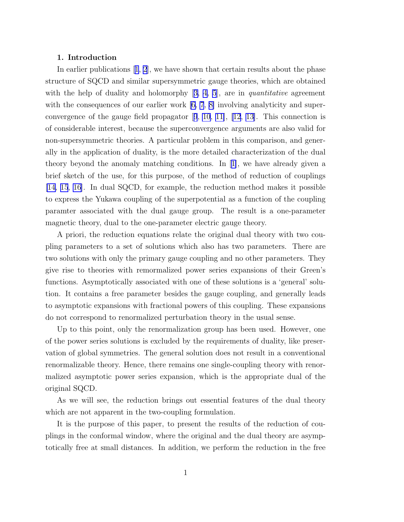## 1. Introduction

In earlier publications[[1](#page-14-0), [2](#page-14-0)], we have shown that certain results about the phase structure of SQCD and similar supersymmetric gauge theories, which are obtained withthe help of duality and holomorphy  $[3, 4, 5]$  $[3, 4, 5]$  $[3, 4, 5]$  $[3, 4, 5]$  $[3, 4, 5]$ , are in *quantitative* agreement with the consequences of our earlier work [\[6](#page-14-0), [7](#page-14-0), [8\]](#page-14-0) involving analyticity and superconvergenceof the gauge field propagator  $[9, 10, 11]$  $[9, 10, 11]$  $[9, 10, 11]$  $[9, 10, 11]$  $[9, 10, 11]$  $[9, 10, 11]$ ,  $[12, 13]$  $[12, 13]$ . This connection is of considerable interest, because the superconvergence arguments are also valid for non-supersymmetric theories. A particular problem in this comparison, and generally in the application of duality, is the more detailed characterization of the dual theory beyond the anomaly matching conditions. In[[1\]](#page-14-0), we have already given a brief sketch of the use, for this purpose, of the method of reduction of couplings [\[14,](#page-14-0) [15](#page-15-0), [16\]](#page-15-0). In dual SQCD, for example, the reduction method makes it possible to express the Yukawa coupling of the superpotential as a function of the coupling paramter associated with the dual gauge group. The result is a one-parameter magnetic theory, dual to the one-parameter electric gauge theory.

A priori, the reduction equations relate the original dual theory with two coupling parameters to a set of solutions which also has two parameters. There are two solutions with only the primary gauge coupling and no other parameters. They give rise to theories with remormalized power series expansions of their Green's functions. Asymptotically associated with one of these solutions is a 'general' solution. It contains a free parameter besides the gauge coupling, and generally leads to asymptotic expansions with fractional powers of this coupling. These expansions do not correspond to renormalized perturbation theory in the usual sense.

Up to this point, only the renormalization group has been used. However, one of the power series solutions is excluded by the requirements of duality, like preservation of global symmetries. The general solution does not result in a conventional renormalizable theory. Hence, there remains one single-coupling theory with renormalized asymptotic power series expansion, which is the appropriate dual of the original SQCD.

As we will see, the reduction brings out essential features of the dual theory which are not apparent in the two-coupling formulation.

It is the purpose of this paper, to present the results of the reduction of couplings in the conformal window, where the original and the dual theory are asymptotically free at small distances. In addition, we perform the reduction in the free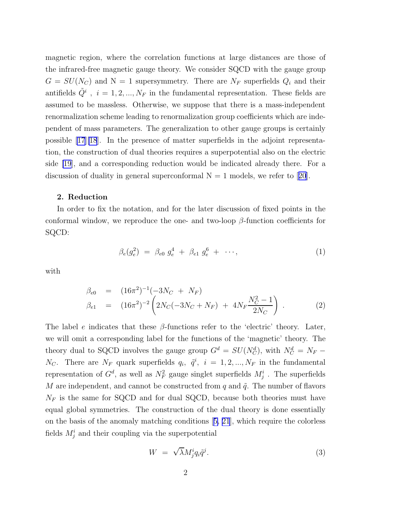magnetic region, where the correlation functions at large distances are those of the infrared-free magnetic gauge theory. We consider SQCD with the gauge group  $G = SU(N_C)$  and N = 1 supersymmetry. There are  $N_F$  superfields  $Q_i$  and their antifields  $\tilde{Q}^i$ ,  $i = 1, 2, ..., N_F$  in the fundamental representation. These fields are assumed to be massless. Otherwise, we suppose that there is a mass-independent renormalization scheme leading to renormalization group coefficients which are independent of mass parameters. The generalization to other gauge groups is certainly possible [\[17\]\[18](#page-15-0)]. In the presence of matter superfields in the adjoint representation, the construction of dual theories requires a superpotential also on the electric side [\[19](#page-15-0)], and a corresponding reduction would be indicated already there. For a discussionof duality in general superconformal  $N = 1$  models, we refer to [[20](#page-15-0)].

# 2. Reduction

In order to fix the notation, and for the later discussion of fixed points in the conformal window, we reproduce the one- and two-loop  $\beta$ -function coefficients for SQCD:

$$
\beta_e(g_e^2) = \beta_{e0} g_e^4 + \beta_{e1} g_e^6 + \cdots, \qquad (1)
$$

with

$$
\beta_{e0} = (16\pi^2)^{-1}(-3N_C + N_F) \n\beta_{e1} = (16\pi^2)^{-2} \left(2N_C(-3N_C + N_F) + 4N_F \frac{N_C^2 - 1}{2N_C}\right).
$$
\n(2)

The label e indicates that these  $\beta$ -functions refer to the 'electric' theory. Later, we will omit a corresponding label for the functions of the 'magnetic' theory. The theory dual to SQCD involves the gauge group  $G^d = SU(N_C^d)$ , with  $N_C^d = N_F N_C$ . There are  $N_F$  quark superfields  $q_i, \, \tilde{q}^i, \, i = 1, 2, ..., N_F$  in the fundamental representation of  $G^d$ , as well as  $N_F^2$  gauge singlet superfields  $M_j^i$ . The superfields M are independent, and cannot be constructed from q and  $\tilde{q}$ . The number of flavors  $N_F$  is the same for SQCD and for dual SQCD, because both theories must have equal global symmetries. The construction of the dual theory is done essentially on the basis of the anomaly matching conditions[[5,](#page-14-0) [21](#page-15-0)], which require the colorless fields  $M_j^i$  and their coupling via the superpotential

$$
W = \sqrt{\lambda} M_j^i q_i \tilde{q}^j. \tag{3}
$$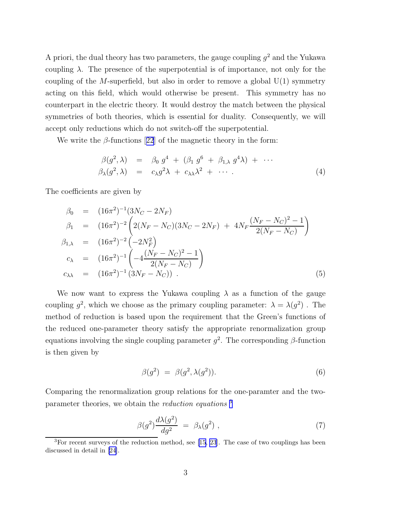A priori, the dual theory has two parameters, the gauge coupling  $g^2$  and the Yukawa coupling  $\lambda$ . The presence of the superpotential is of importance, not only for the coupling of the M-superfield, but also in order to remove a global  $U(1)$  symmetry acting on this field, which would otherwise be present. This symmetry has no counterpart in the electric theory. It would destroy the match between the physical symmetries of both theories, which is essential for duality. Consequently, we will accept only reductions which do not switch-off the superpotential.

Wewrite the  $\beta$ -functions [[22](#page-15-0)] of the magnetic theory in the form:

$$
\begin{array}{rcl}\n\beta(g^2, \lambda) & = & \beta_0 \; g^4 \; + \; (\beta_1 \; g^6 \; + \; \beta_{1, \lambda} \; g^4 \lambda) \; + \; \cdots \\
\beta_\lambda(g^2, \lambda) & = & c_\lambda g^2 \lambda \; + \; c_{\lambda \lambda} \lambda^2 \; + \; \cdots \, .\n\end{array}\n\tag{4}
$$

The coefficients are given by

$$
\beta_0 = (16\pi^2)^{-1} (3N_C - 2N_F) \n\beta_1 = (16\pi^2)^{-2} \left( 2(N_F - N_C)(3N_C - 2N_F) + 4N_F \frac{(N_F - N_C)^2 - 1}{2(N_F - N_C)} \right) \n\beta_{1,\lambda} = (16\pi^2)^{-2} \left( -2N_F^2 \right) \n\alpha_{\lambda} = (16\pi^2)^{-1} \left( -4 \frac{(N_F - N_C)^2 - 1}{2(N_F - N_C)} \right) \n\alpha_{\lambda\lambda} = (16\pi^2)^{-1} (3N_F - N_C)
$$
\n(5)

We now want to express the Yukawa coupling  $\lambda$  as a function of the gauge coupling  $g^2$ , which we choose as the primary coupling parameter:  $\lambda = \lambda(g^2)$ . The method of reduction is based upon the requirement that the Green's functions of the reduced one-parameter theory satisfy the appropriate renormalization group equations involving the single coupling parameter  $g^2$ . The corresponding  $\beta$ -function is then given by

$$
\beta(g^2) = \beta(g^2, \lambda(g^2)). \tag{6}
$$

Comparing the renormalization group relations for the one-paramter and the twoparameter theories, we obtain the reduction equations <sup>3</sup>

$$
\beta(g^2)\frac{d\lambda(g^2)}{dg^2} = \beta_\lambda(g^2) , \qquad (7)
$$

<sup>&</sup>lt;sup>3</sup>For recent surveys of the reduction method, see [\[15, 23](#page-15-0)]. The case of two couplings has been discussed in detail in[[24\]](#page-16-0).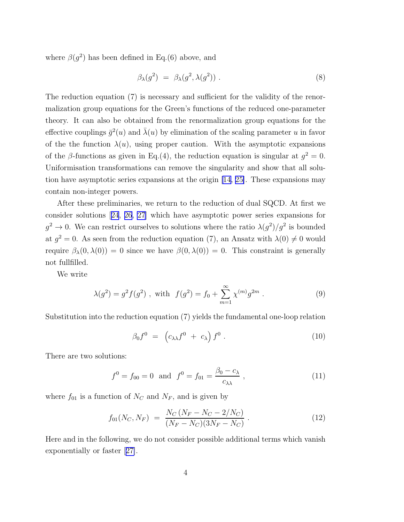where  $\beta(g^2)$  has been defined in Eq.(6) above, and

$$
\beta_{\lambda}(g^2) = \beta_{\lambda}(g^2, \lambda(g^2)) . \tag{8}
$$

The reduction equation (7) is necessary and sufficient for the validity of the renormalization group equations for the Green's functions of the reduced one-parameter theory. It can also be obtained from the renormalization group equations for the effective couplings  $\bar{g}^2(u)$  and  $\bar{\lambda}(u)$  by elimination of the scaling parameter u in favor of the the function  $\lambda(u)$ , using proper caution. With the asymptotic expansions of the  $\beta$ -functions as given in Eq.(4), the reduction equation is singular at  $g^2 = 0$ . Uniformisation transformations can remove the singularity and show that all solution have asymptotic series expansions at the origin [\[14](#page-14-0), [25\]](#page-16-0). These expansions may contain non-integer powers.

After these preliminaries, we return to the reduction of dual SQCD. At first we consider solutions[[24](#page-16-0), [26](#page-16-0), [27](#page-16-0)] which have asymptotic power series expansions for  $g^2 \to 0$ . We can restrict ourselves to solutions where the ratio  $\lambda(g^2)/g^2$  is bounded at  $g^2 = 0$ . As seen from the reduction equation (7), an Ansatz with  $\lambda(0) \neq 0$  would require  $\beta_{\lambda}(0, \lambda(0)) = 0$  since we have  $\beta(0, \lambda(0)) = 0$ . This constraint is generally not fullfilled.

We write

$$
\lambda(g^2) = g^2 f(g^2)
$$
, with  $f(g^2) = f_0 + \sum_{m=1}^{\infty} \chi^{(m)} g^{2m}$ . (9)

Substitution into the reduction equation (7) yields the fundamental one-loop relation

$$
\beta_0 f^0 = \left( c_{\lambda \lambda} f^0 + c_{\lambda} \right) f^0 \,. \tag{10}
$$

There are two solutions:

$$
f^0 = f_{00} = 0
$$
 and  $f^0 = f_{01} = \frac{\beta_0 - c_\lambda}{c_{\lambda \lambda}}$ , (11)

where  $f_{01}$  is a function of  $N_C$  and  $N_F$ , and is given by

$$
f_{01}(N_C, N_F) = \frac{N_C (N_F - N_C - 2/N_C)}{(N_F - N_C)(3N_F - N_C)}.
$$
\n(12)

Here and in the following, we do not consider possible additional terms which vanish exponentially or faster[[27\]](#page-16-0).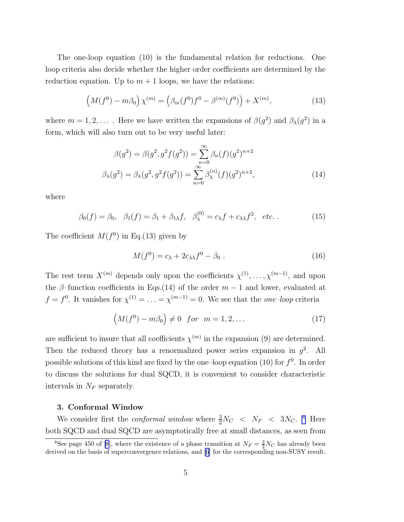The one-loop equation (10) is the fundamental relation for reductions. One loop criteria also decide whether the higher order coefficients are determined by the reduction equation. Up to  $m + 1$  loops, we have the relations:

$$
(M(f^{0}) - m\beta_{0}) \chi^{(m)} = (\beta_{m}(f^{0})f^{0} - \beta^{(m)}(f^{0})) + X^{(m)}, \qquad (13)
$$

where  $m = 1, 2, \ldots$ . Here we have written the expansions of  $\beta(g^2)$  and  $\beta_{\lambda}(g^2)$  in a form, which will also turn out to be very useful later:

$$
\beta(g^2) = \beta(g^2, g^2 f(g^2)) = \sum_{n=0}^{\infty} \beta_n(f)(g^2)^{n+2}
$$

$$
\beta_{\lambda}(g^2) = \beta_{\lambda}(g^2, g^2 f(g^2)) = \sum_{n=0}^{\infty} \beta_{\lambda}^{(n)}(f)(g^2)^{n+2},
$$
(14)

where

$$
\beta_0(f) = \beta_0, \quad \beta_1(f) = \beta_1 + \beta_{1\lambda}f, \quad \beta_{\lambda}^{(0)} = c_{\lambda}f + c_{\lambda\lambda}f^2, \quad etc. \tag{15}
$$

The coefficient  $M(f^0)$  in Eq.(13) given by

$$
M(f^0) = c_\lambda + 2c_{\lambda\lambda}f^0 - \beta_0.
$$
 (16)

The rest term  $X^{(m)}$  depends only upon the coefficients  $\chi^{(1)}, \ldots, \chi^{(m-1)}$ , and upon the  $\beta$ -function coefficients in Eqs.(14) of the order  $m-1$  and lower, evaluated at  $f = f^0$ . It vanishes for  $\chi^{(1)} = \ldots = \chi^{(m-1)} = 0$ . We see that the *one-loop* criteria

$$
\left(M(f^0) - m\beta_0\right) \neq 0 \quad \text{for} \quad m = 1, 2, \dots \tag{17}
$$

are sufficient to insure that all coefficients  $\chi^{(m)}$  in the expansion (9) are determined. Then the reduced theory has a renormalized power series expansion in  $g^2$ . All possible solutions of this kind are fixed by the one-loop equation (10) for  $f^0$ . In order to discuss the solutions for dual SQCD, it is convenient to consider characteristic intervals in  $N_F$  separately.

#### 3. Conformal Window

We consider first the *conformal window* where  $\frac{3}{2}N_C$  <  $N_F$  <  $3N_C$ . <sup>4</sup> Here both SQCD and dual SQCD are asymptotically free at small distances, as seen from

<sup>&</sup>lt;sup>4</sup>See page 450 of [\[8](#page-14-0)], where the existence of a phase transition at  $N_F = \frac{3}{2}N_C$  has already been derived on the basis of superconvergence relations, and[[6\]](#page-14-0) for the corresponding non-SUSY result.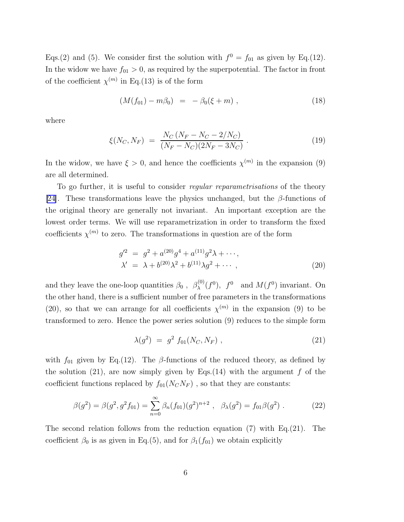Eqs.(2) and (5). We consider first the solution with  $f^0 = f_{01}$  as given by Eq.(12). In the widow we have  $f_{01} > 0$ , as required by the superpotential. The factor in front of the coefficient  $\chi^{(m)}$  in Eq.(13) is of the form

$$
(M(f_{01}) - m\beta_0) = -\beta_0(\xi + m) , \qquad (18)
$$

where

$$
\xi(N_C, N_F) = \frac{N_C (N_F - N_C - 2/N_C)}{(N_F - N_C)(2N_F - 3N_C)}.
$$
\n(19)

In the widow, we have  $\xi > 0$ , and hence the coefficients  $\chi^{(m)}$  in the expansion (9) are all determined.

To go further, it is useful to consider regular reparametrisations of the theory [\[24\]](#page-16-0). These transformations leave the physics unchanged, but the  $\beta$ -functions of the original theory are generally not invariant. An important exception are the lowest order terms. We will use reparametrization in order to transform the fixed coefficients  $\chi^{(m)}$  to zero. The transformations in question are of the form

$$
g'^2 = g^2 + a^{(20)}g^4 + a^{(11)}g^2\lambda + \cdots,
$$
  
\n
$$
\lambda' = \lambda + b^{(20)}\lambda^2 + b^{(11)}\lambda g^2 + \cdots,
$$
\n(20)

and they leave the one-loop quantities  $\beta_0$ ,  $\beta_\lambda^{(0)}$  $\Lambda^{(0)}(f^0)$ ,  $f^0$  and  $M(f^0)$  invariant. On the other hand, there is a sufficient number of free parameters in the transformations (20), so that we can arrange for all coefficients  $\chi^{(m)}$  in the expansion (9) to be transformed to zero. Hence the power series solution (9) reduces to the simple form

$$
\lambda(g^2) = g^2 f_{01}(N_C, N_F) , \qquad (21)
$$

with  $f_{01}$  given by Eq.(12). The β-functions of the reduced theory, as defined by the solution (21), are now simply given by Eqs. (14) with the argument f of the coefficient functions replaced by  $f_{01}(N_cN_F)$ , so that they are constants:

$$
\beta(g^2) = \beta(g^2, g^2 f_{01}) = \sum_{n=0}^{\infty} \beta_n(f_{01})(g^2)^{n+2}, \quad \beta_\lambda(g^2) = f_{01}\beta(g^2) \,. \tag{22}
$$

The second relation follows from the reduction equation (7) with Eq.(21). The coefficient  $\beta_0$  is as given in Eq.(5), and for  $\beta_1(f_{01})$  we obtain explicitly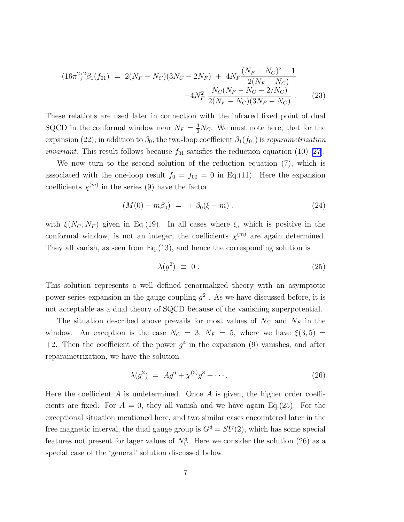$$
(16\pi^2)^2 \beta_1(f_{01}) = 2(N_F - N_C)(3N_C - 2N_F) + 4N_F \frac{(N_F - N_C)^2 - 1}{2(N_F - N_C)} -4N_F^2 \frac{N_C(N_F - N_C - 2/N_C)}{2(N_F - N_C)(3N_F - N_C)}.
$$
 (23)

These relations are used later in connection with the infrared fixed point of dual SQCD in the conformal window near  $N_F = \frac{3}{2}N_C$ . We must note here, that for the expansion (22), in addition to  $\beta_0$ , the two-loop coefficient  $\beta_1(f_{01})$  is reparametrization *invariant*. This result follows because  $f_{01}$  satisfies the reduction equation (10) [\[27](#page-16-0)].

We now turn to the second solution of the reduction equation (7), which is associated with the one-loop result  $f_0 = f_{00} = 0$  in Eq.(11). Here the expansion coefficients  $\chi^{(m)}$  in the series (9) have the factor

$$
(M(0) - m\beta_0) = +\beta_0(\xi - m) , \qquad (24)
$$

with  $\xi(N_C, N_F)$  given in Eq.(19). In all cases where  $\xi$ , which is positive in the conformal window, is not an integer, the coefficients  $\chi^{(m)}$  are again determined. They all vanish, as seen from Eq.(13), and hence the corresponding solution is

$$
\lambda(g^2) \equiv 0 \tag{25}
$$

This solution represents a well defined renormalized theory with an asymptotic power series expansion in the gauge coupling  $g^2$ . As we have discussed before, it is not acceptable as a dual theory of SQCD because of the vanishing superpotential.

The situation described above prevails for most values of  $N_C$  and  $N_F$  in the window. An exception is the case  $N_C = 3$ ,  $N_F = 5$ , where we have  $\xi(3,5) =$ +2. Then the coefficient of the power  $g^4$  in the expansion (9) vanishes, and after reparametrization, we have the solution

$$
\lambda(g^2) = A g^6 + \chi^{(3)} g^8 + \cdots. \tag{26}
$$

Here the coefficient A is undetermined. Once A is given, the higher order coefficients are fixed. For  $A = 0$ , they all vanish and we have again Eq.(25). For the exceptional situation mentioned here, and two similar cases encountered later in the free magnetic interval, the dual gauge group is  $G<sup>d</sup> = SU(2)$ , which has some special features not present for lager values of  $N_C^d$ . Here we consider the solution (26) as a special case of the 'general' solution discussed below.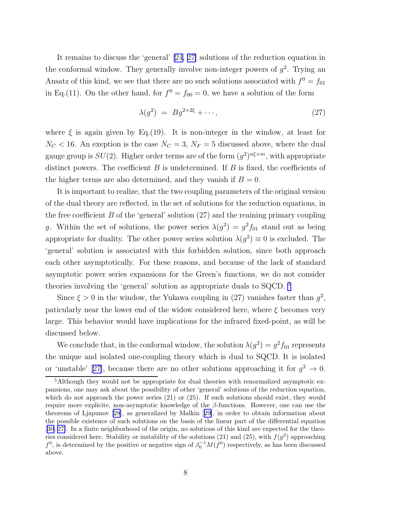It remains to discuss the 'general' [\[24, 27\]](#page-16-0) solutions of the reduction equation in the conformal window. They generally involve non-integer powers of  $g^2$ . Trying an Ansatz of this kind, we see that there are no such solutions associated with  $f^0 = f_{01}$ in Eq.(11). On the other hand, for  $f^0 = f_{00} = 0$ , we have a solution of the form

$$
\lambda(g^2) = Bg^{2+2\xi} + \cdots,\tag{27}
$$

where  $\xi$  is again given by Eq.(19). It is non-integer in the window, at least for  $N_C < 16$ . An exeption is the case  $N_C = 3$ ,  $N_F = 5$  discussed above, where the dual gauge group is  $SU(2)$ . Higher order terms are of the form  $(g^2)^{n\xi+m}$ , with appropriate distinct powers. The coefficient  $B$  is undetermined. If  $B$  is fixed, the coefficients of the higher terms are also determined, and they vanish if  $B = 0$ .

It is important to realize, that the two coupling parameters of the original version of the dual theory are reflected, in the set of solutions for the reduction equations, in the free coefficient B of the 'general' solution  $(27)$  and the reaining primary coupling g. Within the set of solutions, the power series  $\lambda(g^2) = g^2 f_{01}$  stand out as being appropriate for duality. The other power series solution  $\lambda(g^2) \equiv 0$  is excluded. The 'general' solution is associated with this forbidden solution, since both approach each other asymptotically. For these reasons, and because of the lack of standard asymptotic power series expansions for the Green's functions, we do not consider theories involving the 'general' solution as appropriate duals to SQCD. 5

Since  $\xi > 0$  in the window, the Yukawa coupling in (27) vanishes faster than  $g^2$ , paticularly near the lower end of the widow considered here, where  $\xi$  becomes very large. This behavior would have implications for the infrared fixed-point, as will be discussed below.

We conclude that, in the conformal window, the solution  $\lambda(g^2) = g^2 f_{01}$  represents the unique and isolated one-coupling theory which is dual to SQCD. It is isolated or 'unstable' [\[27\]](#page-16-0), because there are no other solutions approaching it for  $g^2 \to 0$ .

<sup>&</sup>lt;sup>5</sup>Although they would not be appropriate for dual theories with renormalized asymptotic expansions, one may ask about the possibility of other 'general' solutions of the reduction equation, which do not approach the power series  $(21)$  or  $(25)$ . If such solutions should exist, they would require more explicite, non-asymptotic knowledge of the  $\beta$ -functions. However, one can use the theorems of Ljapunov [\[28](#page-16-0)], as generalized by Malkin[[29\]](#page-16-0), in order to obtain information about the possible existence of such solutions on the basis of the linear part of the differential equation [[30, 27\]](#page-16-0). In a finite neighborhood of the origin, no solutions of this kind are expected for the theories considered here. Stability or instability of the solutions (21) and (25), with  $f(g^2)$  approaching  $f^0$ , is determined by the positive or negative sign of  $\beta_0^{-1}M(\hat{f}^0)$  respectively, as has been discussed above.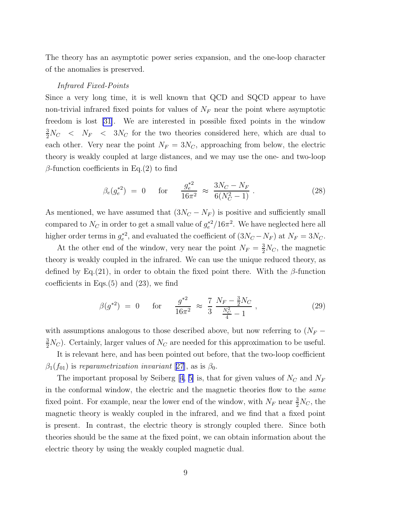The theory has an asymptotic power series expansion, and the one-loop character of the anomalies is preserved.

## Infrared Fixed-Points

Since a very long time, it is well known that QCD and SQCD appear to have non-trivial infrared fixed points for values of  $N_F$  near the point where asymptotic freedom is lost [\[31\]](#page-16-0). We are interested in possible fixed points in the window  $\frac{3}{2}N_C$  <  $N_F$  <  $3N_C$  for the two theories considered here, which are dual to each other. Very near the point  $N_F = 3N_C$ , approaching from below, the electric theory is weakly coupled at large distances, and we may use the one- and two-loop β-function coefficients in Eq.(2) to find

$$
\beta_e(g_e^{*2}) = 0 \quad \text{for} \quad \frac{g_e^{*2}}{16\pi^2} \approx \frac{3N_C - N_F}{6(N_C^2 - 1)} \,. \tag{28}
$$

As mentioned, we have assumed that  $(3N_C - N_F)$  is positive and sufficiently small compared to  $N_C$  in order to get a small value of  $g_e^{*2}/16\pi^2$ . We have neglected here all higher order terms in  $g_e^{*2}$ , and evaluated the coefficient of  $(3N_C - N_F)$  at  $N_F = 3N_C$ .

At the other end of the window, very near the point  $N_F = \frac{3}{2}N_C$ , the magnetic theory is weakly coupled in the infrared. We can use the unique reduced theory, as defined by Eq.(21), in order to obtain the fixed point there. With the  $\beta$ -function coefficients in Eqs.(5) and (23), we find

$$
\beta(g^{*2}) = 0 \quad \text{for} \quad \frac{g^{*2}}{16\pi^2} \approx \frac{7}{3} \frac{N_F - \frac{3}{2}N_C}{\frac{N_C^2}{4} - 1} \,, \tag{29}
$$

with assumptions analogous to those described above, but now referring to  $(N_F \frac{3}{2}N_C$ ). Certainly, larger values of  $N_C$  are needed for this approximation to be useful.

It is relevant here, and has been pointed out before, that the two-loop coefficient  $\beta_1(f_{01})$  is reparametrization invariant [\[27\]](#page-16-0), as is  $\beta_0$ .

Theimportant proposal by Seiberg [[4, 5\]](#page-14-0) is, that for given values of  $N_c$  and  $N_F$ in the conformal window, the electric and the magnetic theories flow to the same fixed point. For example, near the lower end of the window, with  $N_F$  near  $\frac{3}{2}N_C$ , the magnetic theory is weakly coupled in the infrared, and we find that a fixed point is present. In contrast, the electric theory is strongly coupled there. Since both theories should be the same at the fixed point, we can obtain information about the electric theory by using the weakly coupled magnetic dual.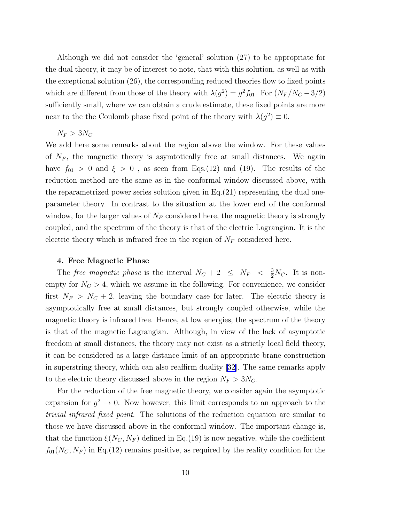Although we did not consider the 'general' solution (27) to be appropriate for the dual theory, it may be of interest to note, that with this solution, as well as with the exceptional solution (26), the corresponding reduced theories flow to fixed points which are different from those of the theory with  $\lambda(g^2) = g^2 f_{01}$ . For  $(N_F/N_C - 3/2)$ sufficiently small, where we can obtain a crude estimate, these fixed points are more near to the the Coulomb phase fixed point of the theory with  $\lambda(g^2) \equiv 0$ .

 $N_F > 3N_C$ 

We add here some remarks about the region above the window. For these values of  $N_F$ , the magnetic theory is asymtotically free at small distances. We again have  $f_{01} > 0$  and  $\xi > 0$ , as seen from Eqs.(12) and (19). The results of the reduction method are the same as in the conformal window discussed above, with the reparametrized power series solution given in Eq.(21) representing the dual oneparameter theory. In contrast to the situation at the lower end of the conformal window, for the larger values of  $N_F$  considered here, the magnetic theory is strongly coupled, and the spectrum of the theory is that of the electric Lagrangian. It is the electric theory which is infrared free in the region of  $N_F$  considered here.

#### 4. Free Magnetic Phase

The free magnetic phase is the interval  $N_C + 2 \leq N_F < \frac{3}{2}N_C$ . It is nonempty for  $N_C > 4$ , which we assume in the following. For convenience, we consider first  $N_F > N_C + 2$ , leaving the boundary case for later. The electric theory is asymptotically free at small distances, but strongly coupled otherwise, while the magnetic theory is infrared free. Hence, at low energies, the spectrum of the theory is that of the magnetic Lagrangian. Although, in view of the lack of asymptotic freedom at small distances, the theory may not exist as a strictly local field theory, it can be considered as a large distance limit of an appropriate brane construction in superstring theory, which can also reaffirm duality[[32\]](#page-16-0). The same remarks apply to the electric theory discussed above in the region  $N_F > 3N_C$ .

For the reduction of the free magnetic theory, we consider again the asymptotic expansion for  $g^2 \to 0$ . Now however, this limit corresponds to an approach to the trivial infrared fixed point. The solutions of the reduction equation are similar to those we have discussed above in the conformal window. The important change is, that the function  $\xi(N_C, N_F)$  defined in Eq.(19) is now negative, while the coefficient  $f_{01}(N_C, N_F)$  in Eq.(12) remains positive, as required by the reality condition for the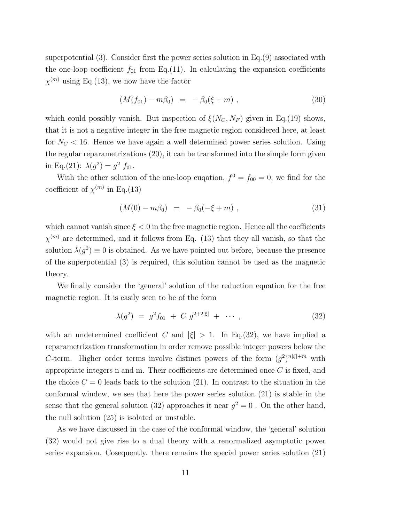superpotential (3). Consider first the power series solution in Eq.(9) associated with the one-loop coefficient  $f_{01}$  from Eq.(11). In calculating the expansion coefficients  $\chi^{(m)}$  using Eq.(13), we now have the factor

$$
(M(f_{01}) - m\beta_0) = -\beta_0(\xi + m) , \qquad (30)
$$

which could possibly vanish. But inspection of  $\xi(N_C, N_F)$  given in Eq.(19) shows, that it is not a negative integer in the free magnetic region considered here, at least for  $N_C < 16$ . Hence we have again a well determined power series solution. Using the regular reparametrizations (20), it can be transformed into the simple form given in Eq.(21):  $\lambda(g^2) = g^2 f_{01}$ .

With the other solution of the one-loop eugation,  $f^0 = f_{00} = 0$ , we find for the coefficient of  $\chi^{(m)}$  in Eq.(13)

$$
(M(0) - m\beta_0) = -\beta_0(-\xi + m) , \qquad (31)
$$

which cannot vanish since  $\xi < 0$  in the free magnetic region. Hence all the coefficients  $\chi^{(m)}$  are determined, and it follows from Eq. (13) that they all vanish, so that the solution  $\lambda(g^2) \equiv 0$  is obtained. As we have pointed out before, because the presence of the superpotential (3) is required, this solution cannot be used as the magnetic theory.

We finally consider the 'general' solution of the reduction equation for the free magnetic region. It is easily seen to be of the form

$$
\lambda(g^2) = g^2 f_{01} + C g^{2+2|\xi|} + \cdots, \qquad (32)
$$

with an undetermined coefficient C and  $|\xi| > 1$ . In Eq.(32), we have implied a reparametrization transformation in order remove possible integer powers below the C-term. Higher order terms involve distinct powers of the form  $(g^2)^{n|\xi|+m}$  with appropriate integers  $n$  and  $m$ . Their coefficients are determined once  $C$  is fixed, and the choice  $C = 0$  leads back to the solution (21). In contrast to the situation in the conformal window, we see that here the power series solution (21) is stable in the sense that the general solution (32) approaches it near  $g^2 = 0$ . On the other hand, the null solution (25) is isolated or unstable.

As we have discussed in the case of the conformal window, the 'general' solution (32) would not give rise to a dual theory with a renormalized asymptotic power series expansion. Cosequently. there remains the special power series solution (21)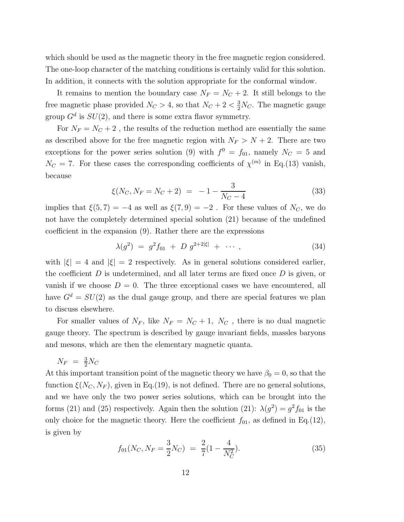which should be used as the magnetic theory in the free magnetic region considered. The one-loop character of the matching conditions is certainly valid for this solution. In addition, it connects with the solution appropriate for the conformal window.

It remains to mention the boundary case  $N_F = N_C + 2$ . It still belongs to the free magnetic phase provided  $N_C > 4$ , so that  $N_C + 2 < \frac{3}{2}N_C$ . The magnetic gauge group  $G<sup>d</sup>$  is  $SU(2)$ , and there is some extra flavor symmetry.

For  $N_F = N_C + 2$ , the results of the reduction method are essentially the same as described above for the free magnetic region with  $N_F > N + 2$ . There are two exceptions for the power series solution (9) with  $f^0 = f_{01}$ , namely  $N_C = 5$  and  $N_C = 7$ . For these cases the corresponding coefficients of  $\chi^{(m)}$  in Eq.(13) vanish, because

$$
\xi(N_C, N_F = N_C + 2) = -1 - \frac{3}{N_C - 4} \tag{33}
$$

implies that  $\xi(5, 7) = -4$  as well as  $\xi(7, 9) = -2$ . For these values of  $N_C$ , we do not have the completely determined special solution (21) because of the undefined coefficient in the expansion (9). Rather there are the expressions

$$
\lambda(g^2) = g^2 f_{01} + D g^{2+2|\xi|} + \cdots, \qquad (34)
$$

with  $|\xi| = 4$  and  $|\xi| = 2$  respectively. As in general solutions considered earlier, the coefficient  $D$  is undetermined, and all later terms are fixed once  $D$  is given, or vanish if we choose  $D = 0$ . The three exceptional cases we have encountered, all have  $G^d = SU(2)$  as the dual gauge group, and there are special features we plan to discuss elsewhere.

For smaller values of  $N_F$ , like  $N_F = N_C + 1$ ,  $N_C$ , there is no dual magnetic gauge theory. The spectrum is described by gauge invariant fields, massles baryons and mesons, which are then the elementary magnetic quanta.

$$
N_F = \frac{3}{2} N_C
$$

At this important transition point of the magnetic theory we have  $\beta_0 = 0$ , so that the function  $\xi(N_C, N_F)$ , given in Eq.(19), is not defined. There are no general solutions, and we have only the two power series solutions, which can be brought into the forms (21) and (25) respectively. Again then the solution (21):  $\lambda(g^2) = g^2 f_{01}$  is the only choice for the magnetic theory. Here the coefficient  $f_{01}$ , as defined in Eq.(12), is given by

$$
f_{01}(N_C, N_F = \frac{3}{2}N_C) = \frac{2}{7}(1 - \frac{4}{N_C^2}).
$$
\n(35)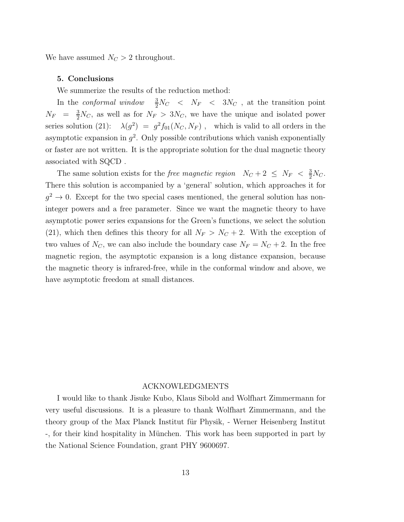We have assumed  $N_C > 2$  throughout.

### 5. Conclusions

We summerize the results of the reduction method:

In the *conformal window*  $\frac{3}{2}N_C$  <  $N_F$  <  $3N_C$ , at the transition point  $N_F$  =  $\frac{3}{2}N_C$ , as well as for  $N_F > 3N_C$ , we have the unique and isolated power series solution (21):  $\lambda(g^2) = g^2 f_{01}(N_C, N_F)$ , which is valid to all orders in the asymptotic expansion in  $g^2$ . Only possible contributions which vanish exponentially or faster are not written. It is the appropriate solution for the dual magnetic theory associated with SQCD .

The same solution exists for the *free magnetic region*  $N_C + 2 \le N_F < \frac{3}{2}N_C$ . There this solution is accompanied by a 'general' solution, which approaches it for  $g^2 \to 0$ . Except for the two special cases mentioned, the general solution has noninteger powers and a free parameter. Since we want the magnetic theory to have asymptotic power series expansions for the Green's functions, we select the solution (21), which then defines this theory for all  $N_F > N_C + 2$ . With the exception of two values of  $N_C$ , we can also include the boundary case  $N_F = N_C + 2$ . In the free magnetic region, the asymptotic expansion is a long distance expansion, because the magnetic theory is infrared-free, while in the conformal window and above, we have asymptotic freedom at small distances.

## ACKNOWLEDGMENTS

I would like to thank Jisuke Kubo, Klaus Sibold and Wolfhart Zimmermann for very useful discussions. It is a pleasure to thank Wolfhart Zimmermann, and the theory group of the Max Planck Institut für Physik, - Werner Heisenberg Institut -, for their kind hospitality in M¨unchen. This work has been supported in part by the National Science Foundation, grant PHY 9600697.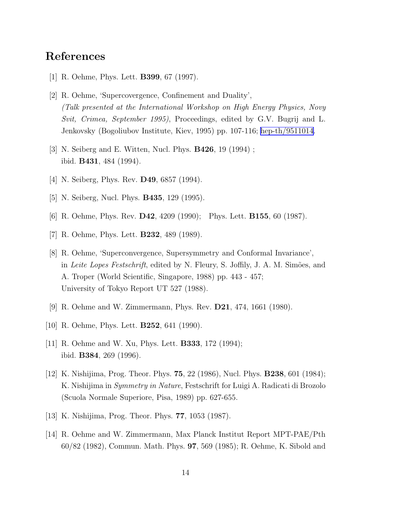# <span id="page-14-0"></span>References

- [1] R. Oehme, Phys. Lett. B399, 67 (1997).
- [2] R. Oehme, 'Supercovergence, Confinement and Duality', (Talk presented at the International Workshop on High Energy Physics, Novy Svit, Crimea, September 1995), Proceedings, edited by G.V. Bugrij and L. Jenkovsky (Bogoliubov Institute, Kiev, 1995) pp. 107-116; [hep-th/9511014](http://arxiv.org/abs/hep-th/9511014).
- [3] N. Seiberg and E. Witten, Nucl. Phys. B426, 19 (1994) ; ibid. B431, 484 (1994).
- [4] N. Seiberg, Phys. Rev. **D49**, 6857 (1994).
- [5] N. Seiberg, Nucl. Phys. **B435**, 129 (1995).
- [6] R. Oehme, Phys. Rev. D42, 4209 (1990); Phys. Lett. B155, 60 (1987).
- [7] R. Oehme, Phys. Lett. B232, 489 (1989).
- [8] R. Oehme, 'Superconvergence, Supersymmetry and Conformal Invariance', in Leite Lopes Festschrift, edited by N. Fleury, S. Joffily, J. A. M. Simões, and A. Troper (World Scientific, Singapore, 1988) pp. 443 - 457; University of Tokyo Report UT 527 (1988).
- [9] R. Oehme and W. Zimmermann, Phys. Rev. D21, 474, 1661 (1980).
- [10] R. Oehme, Phys. Lett. B252, 641 (1990).
- [11] R. Oehme and W. Xu, Phys. Lett. B333, 172 (1994); ibid. B384, 269 (1996).
- [12] K. Nishijima, Prog. Theor. Phys. 75, 22 (1986), Nucl. Phys. B238, 601 (1984); K. Nishijima in Symmetry in Nature, Festschrift for Luigi A. Radicati di Brozolo (Scuola Normale Superiore, Pisa, 1989) pp. 627-655.
- [13] K. Nishijima, Prog. Theor. Phys. 77, 1053 (1987).
- [14] R. Oehme and W. Zimmermann, Max Planck Institut Report MPT-PAE/Pth 60/82 (1982), Commun. Math. Phys. 97, 569 (1985); R. Oehme, K. Sibold and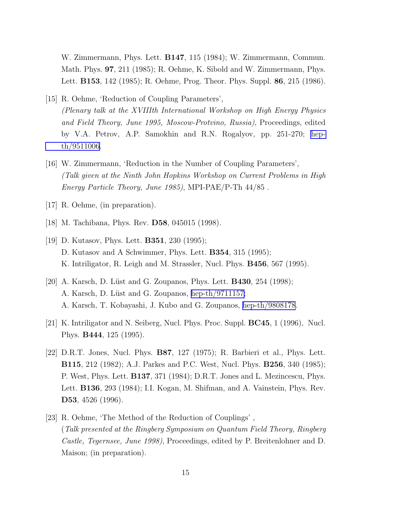<span id="page-15-0"></span>W. Zimmermann, Phys. Lett. B147, 115 (1984); W. Zimmermann, Commun. Math. Phys. 97, 211 (1985); R. Oehme, K. Sibold and W. Zimmermann, Phys. Lett. B153, 142 (1985); R. Oehme, Prog. Theor. Phys. Suppl. 86, 215 (1986).

- [15] R. Oehme, 'Reduction of Coupling Parameters', (Plenary talk at the XVIIIth International Workshop on High Energy Physics and Field Theory, June 1995, Moscow-Protvino, Russia), Proceedings, edited by V.A. Petrov, A.P. Samokhin and R.N. Rogalyov, pp. 251-270; [hep](http://arxiv.org/abs/hep-th/9511006)[th/9511006.](http://arxiv.org/abs/hep-th/9511006)
- [16] W. Zimmermann, 'Reduction in the Number of Coupling Parameters', (Talk given at the Ninth John Hopkins Workshop on Current Problems in High Energy Particle Theory, June 1985), MPI-PAE/P-Th 44/85 .
- [17] R. Oehme, (in preparation).
- [18] M. Tachibana, Phys. Rev. D58, 045015 (1998).
- [19] D. Kutasov, Phys. Lett. **B351**, 230 (1995); D. Kutasov and A Schwimmer, Phys. Lett. B354, 315 (1995); K. Intriligator, R. Leigh and M. Strassler, Nucl. Phys. B456, 567 (1995).
- [20] A. Karsch, D. Lüst and G. Zoupanos, Phys. Lett. **B430**, 254 (1998); A. Karsch, D. Lüst and G. Zoupanos, [hep-th/9711157;](http://arxiv.org/abs/hep-th/9711157) A. Karsch, T. Kobayashi, J. Kubo and G. Zoupanos, [hep-th/9808178.](http://arxiv.org/abs/hep-th/9808178)
- [21] K. Intriligator and N. Seiberg, Nucl. Phys. Proc. Suppl. BC45, 1 (1996), Nucl. Phys. B444, 125 (1995).
- [22] D.R.T. Jones, Nucl. Phys. B87, 127 (1975); R. Barbieri et al., Phys. Lett. B115, 212 (1982); A.J. Parkes and P.C. West, Nucl. Phys. B256, 340 (1985); P. West, Phys. Lett. B137, 371 (1984); D.R.T. Jones and L. Mezincescu, Phys. Lett. B136, 293 (1984); I.I. Kogan, M. Shifman, and A. Vainstein, Phys. Rev. D53, 4526 (1996).
- [23] R. Oehme, 'The Method of the Reduction of Couplings' , (Talk presented at the Ringberg Symposium on Quantum Field Theory, Ringberg Castle, Tegernsee, June 1998), Proceedings, edited by P. Breitenlohner and D. Maison; (in preparation).